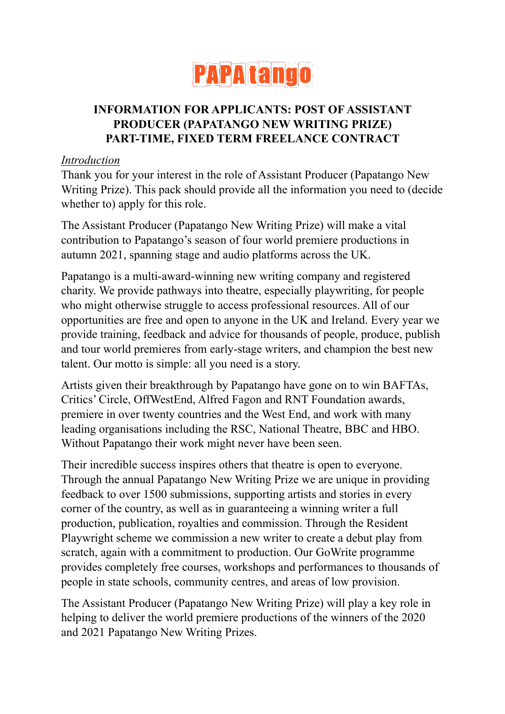

# **INFORMATION FOR APPLICANTS: POST OF ASSISTANT PRODUCER (PAPATANGO NEW WRITING PRIZE) PART-TIME, FIXED TERM FREELANCE CONTRACT**

#### *Introduction*

Thank you for your interest in the role of Assistant Producer (Papatango New Writing Prize). This pack should provide all the information you need to (decide whether to) apply for this role.

The Assistant Producer (Papatango New Writing Prize) will make a vital contribution to Papatango's season of four world premiere productions in autumn 2021, spanning stage and audio platforms across the UK.

Papatango is a multi-award-winning new writing company and registered charity. We provide pathways into theatre, especially playwriting, for people who might otherwise struggle to access professional resources. All of our opportunities are free and open to anyone in the UK and Ireland. Every year we provide training, feedback and advice for thousands of people, produce, publish and tour world premieres from early-stage writers, and champion the best new talent. Our motto is simple: all you need is a story.

Artists given their breakthrough by Papatango have gone on to win BAFTAs, Critics' Circle, OffWestEnd, Alfred Fagon and RNT Foundation awards, premiere in over twenty countries and the West End, and work with many leading organisations including the RSC, National Theatre, BBC and HBO. Without Papatango their work might never have been seen.

Their incredible success inspires others that theatre is open to everyone. Through the annual Papatango New Writing Prize we are unique in providing feedback to over 1500 submissions, supporting artists and stories in every corner of the country, as well as in guaranteeing a winning writer a full production, publication, royalties and commission. Through the Resident Playwright scheme we commission a new writer to create a debut play from scratch, again with a commitment to production. Our GoWrite programme provides completely free courses, workshops and performances to thousands of people in state schools, community centres, and areas of low provision.

The Assistant Producer (Papatango New Writing Prize) will play a key role in helping to deliver the world premiere productions of the winners of the 2020 and 2021 Papatango New Writing Prizes.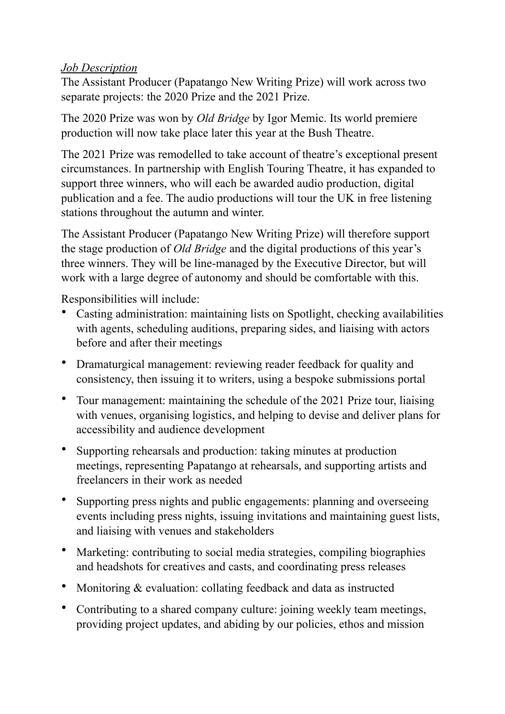#### *Job Description*

The Assistant Producer (Papatango New Writing Prize) will work across two separate projects: the 2020 Prize and the 2021 Prize.

The 2020 Prize was won by *Old Bridge* by Igor Memic. Its world premiere production will now take place later this year at the Bush Theatre.

The 2021 Prize was remodelled to take account of theatre's exceptional present circumstances. In partnership with English Touring Theatre, it has expanded to support three winners, who will each be awarded audio production, digital publication and a fee. The audio productions will tour the UK in free listening stations throughout the autumn and winter.

The Assistant Producer (Papatango New Writing Prize) will therefore support the stage production of *Old Bridge* and the digital productions of this year's three winners. They will be line-managed by the Executive Director, but will work with a large degree of autonomy and should be comfortable with this.

Responsibilities will include:

- Casting administration: maintaining lists on Spotlight, checking availabilities with agents, scheduling auditions, preparing sides, and liaising with actors before and after their meetings
- Dramaturgical management: reviewing reader feedback for quality and consistency, then issuing it to writers, using a bespoke submissions portal
- Tour management: maintaining the schedule of the 2021 Prize tour, liaising with venues, organising logistics, and helping to devise and deliver plans for accessibility and audience development
- Supporting rehearsals and production: taking minutes at production meetings, representing Papatango at rehearsals, and supporting artists and freelancers in their work as needed
- Supporting press nights and public engagements: planning and overseeing events including press nights, issuing invitations and maintaining guest lists, and liaising with venues and stakeholders
- Marketing: contributing to social media strategies, compiling biographies and headshots for creatives and casts, and coordinating press releases
- Monitoring & evaluation: collating feedback and data as instructed
- Contributing to a shared company culture: joining weekly team meetings, providing project updates, and abiding by our policies, ethos and mission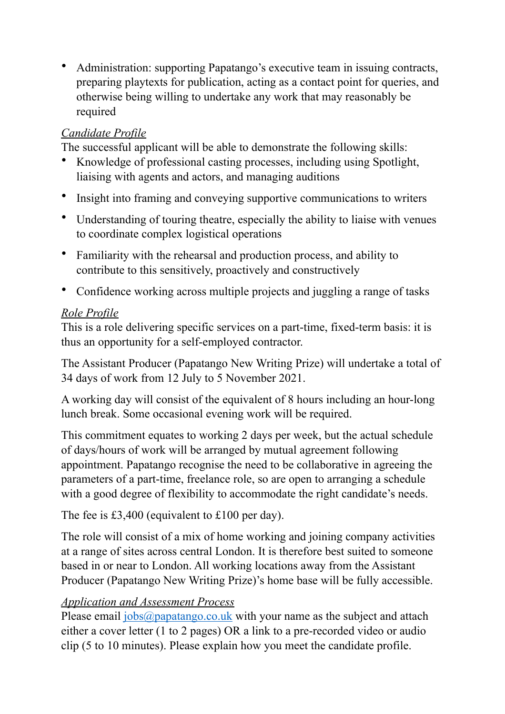• Administration: supporting Papatango's executive team in issuing contracts, preparing playtexts for publication, acting as a contact point for queries, and otherwise being willing to undertake any work that may reasonably be required

## *Candidate Profile*

The successful applicant will be able to demonstrate the following skills:

- Knowledge of professional casting processes, including using Spotlight, liaising with agents and actors, and managing auditions
- Insight into framing and conveying supportive communications to writers
- Understanding of touring theatre, especially the ability to liaise with venues to coordinate complex logistical operations
- Familiarity with the rehearsal and production process, and ability to contribute to this sensitively, proactively and constructively
- Confidence working across multiple projects and juggling a range of tasks

#### *Role Profile*

This is a role delivering specific services on a part-time, fixed-term basis: it is thus an opportunity for a self-employed contractor.

The Assistant Producer (Papatango New Writing Prize) will undertake a total of 34 days of work from 12 July to 5 November 2021.

A working day will consist of the equivalent of 8 hours including an hour-long lunch break. Some occasional evening work will be required.

This commitment equates to working 2 days per week, but the actual schedule of days/hours of work will be arranged by mutual agreement following appointment. Papatango recognise the need to be collaborative in agreeing the parameters of a part-time, freelance role, so are open to arranging a schedule with a good degree of flexibility to accommodate the right candidate's needs.

The fee is £3,400 (equivalent to £100 per day).

The role will consist of a mix of home working and joining company activities at a range of sites across central London. It is therefore best suited to someone based in or near to London. All working locations away from the Assistant Producer (Papatango New Writing Prize)'s home base will be fully accessible.

## *Application and Assessment Process*

Please email  $i_{obs}$  ( $\alpha_{papatango.co.uk}$  with your name as the subject and attach either a cover letter (1 to 2 pages) OR a link to a pre-recorded video or audio clip (5 to 10 minutes). Please explain how you meet the candidate profile.